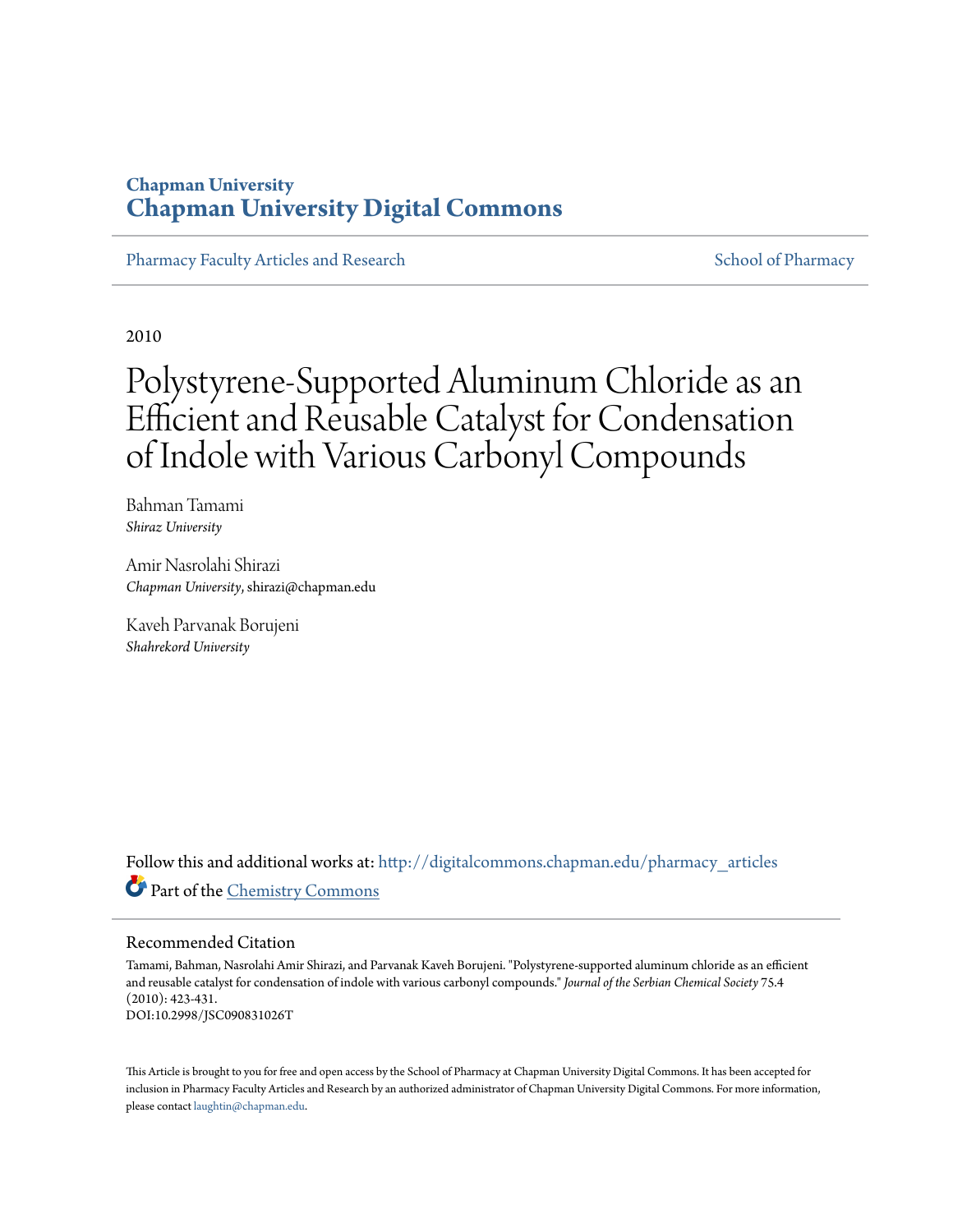### **Chapman University [Chapman University Digital Commons](http://digitalcommons.chapman.edu?utm_source=digitalcommons.chapman.edu%2Fpharmacy_articles%2F106&utm_medium=PDF&utm_campaign=PDFCoverPages)**

[Pharmacy Faculty Articles and Research](http://digitalcommons.chapman.edu/pharmacy_articles?utm_source=digitalcommons.chapman.edu%2Fpharmacy_articles%2F106&utm_medium=PDF&utm_campaign=PDFCoverPages) [School of Pharmacy](http://digitalcommons.chapman.edu/cusp?utm_source=digitalcommons.chapman.edu%2Fpharmacy_articles%2F106&utm_medium=PDF&utm_campaign=PDFCoverPages) School of Pharmacy

2010

# Polystyrene-Supported Aluminum Chloride as an Efficient and Reusable Catalyst for Condensation of Indole with Various Carbonyl Compounds

Bahman Tamami *Shiraz University*

Amir Nasrolahi Shirazi *Chapman University*, shirazi@chapman.edu

Kaveh Parvanak Borujeni *Shahrekord University*

Follow this and additional works at: [http://digitalcommons.chapman.edu/pharmacy\\_articles](http://digitalcommons.chapman.edu/pharmacy_articles?utm_source=digitalcommons.chapman.edu%2Fpharmacy_articles%2F106&utm_medium=PDF&utm_campaign=PDFCoverPages) Part of the [Chemistry Commons](http://network.bepress.com/hgg/discipline/131?utm_source=digitalcommons.chapman.edu%2Fpharmacy_articles%2F106&utm_medium=PDF&utm_campaign=PDFCoverPages)

#### Recommended Citation

Tamami, Bahman, Nasrolahi Amir Shirazi, and Parvanak Kaveh Borujeni. "Polystyrene-supported aluminum chloride as an efficient and reusable catalyst for condensation of indole with various carbonyl compounds." *Journal of the Serbian Chemical Society* 75.4 (2010): 423-431. DOI:10.2998/JSC090831026T

This Article is brought to you for free and open access by the School of Pharmacy at Chapman University Digital Commons. It has been accepted for inclusion in Pharmacy Faculty Articles and Research by an authorized administrator of Chapman University Digital Commons. For more information, please contact [laughtin@chapman.edu.](mailto:laughtin@chapman.edu)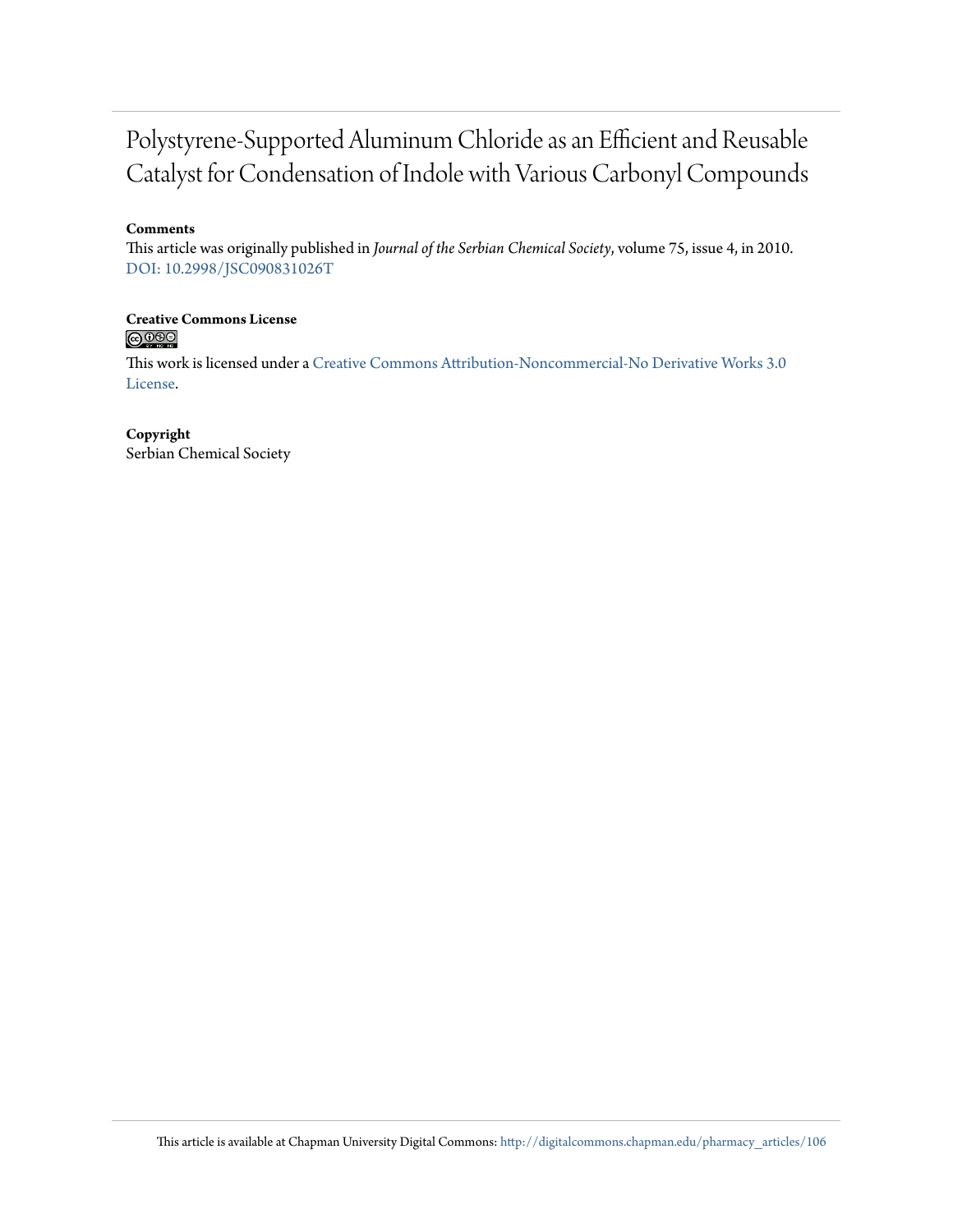# Polystyrene-Supported Aluminum Chloride as an Efficient and Reusable Catalyst for Condensation of Indole with Various Carbonyl Compounds

#### **Comments**

This article was originally published in *Journal of the Serbian Chemical Society*, volume 75, issue 4, in 2010. [DOI: 10.2998/JSC090831026T](http://dx.doi.org/10.2998/JSC090831026T)

#### **Creative Commons License**  $\bigcirc$   $\circ$

This work is licensed under a [Creative Commons Attribution-Noncommercial-No Derivative Works 3.0](http://creativecommons.org/licenses/by-nc-nd/3.0/) [License.](http://creativecommons.org/licenses/by-nc-nd/3.0/)

#### **Copyright**

Serbian Chemical Society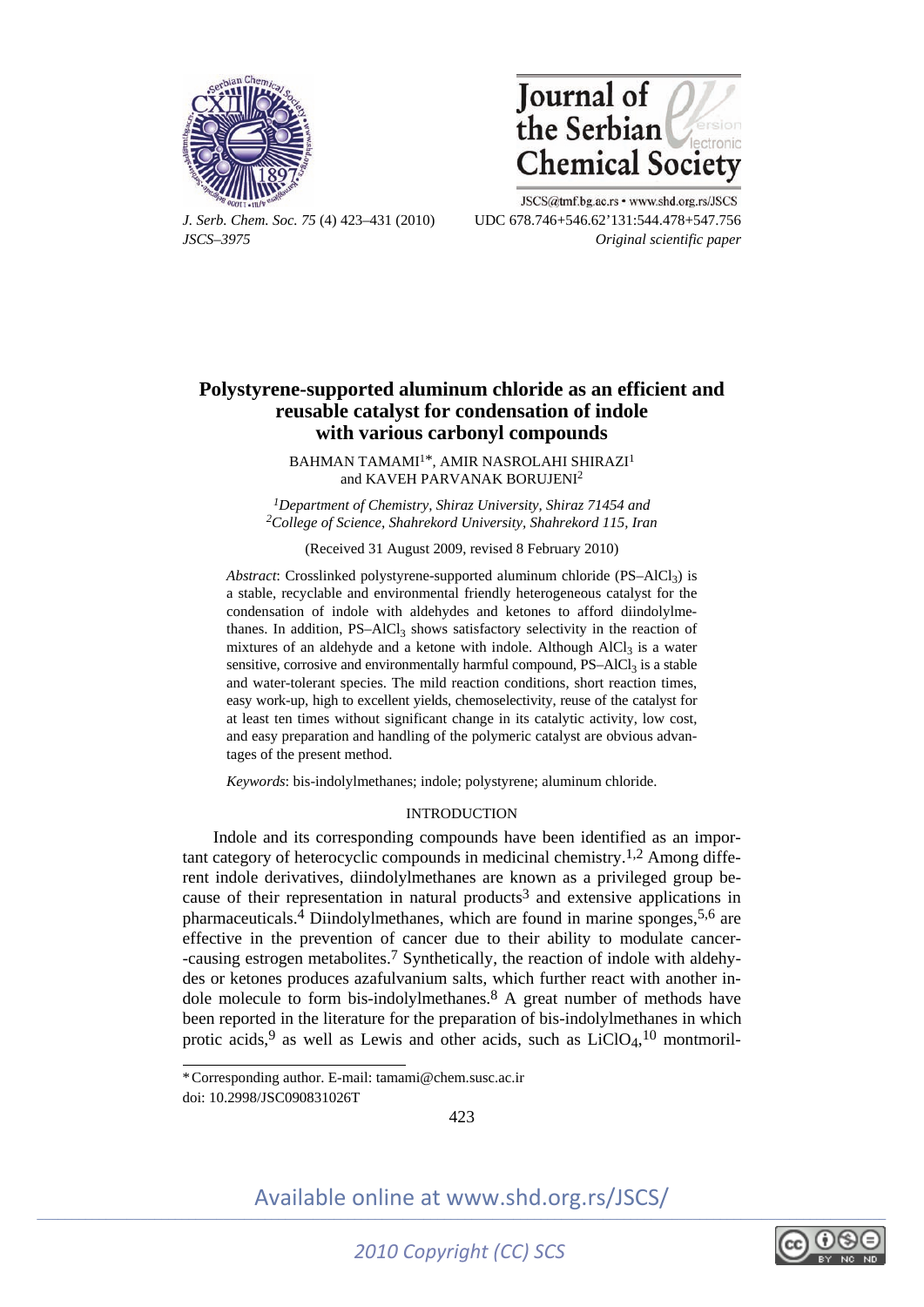



JSCS@tmf.bg.ac.rs • www.shd.org.rs/JSCS *J. Serb. Chem. Soc. 75* (4) 423–431 (2010) UDC 678.746+546.62'131:544.478+547.756 *JSCS–3975 Original scientific paper* 

### **Polystyrene-supported aluminum chloride as an efficient and reusable catalyst for condensation of indole with various carbonyl compounds**

BAHMAN TAMAMI<sup>1\*</sup>, AMIR NASROLAHI SHIRAZI<sup>1</sup> and KAVEH PARVANAK BORUJENI<sup>2</sup>

*1Department of Chemistry, Shiraz University, Shiraz 71454 and 2College of Science, Shahrekord University, Shahrekord 115, Iran* 

(Received 31 August 2009, revised 8 February 2010)

*Abstract*: Crosslinked polystyrene-supported aluminum chloride  $(PS-AICI<sub>3</sub>)$  is a stable, recyclable and environmental friendly heterogeneous catalyst for the condensation of indole with aldehydes and ketones to afford diindolylmethanes. In addition,  $PS-AICI<sub>3</sub>$  shows satisfactory selectivity in the reaction of mixtures of an aldehyde and a ketone with indole. Although  $AICI<sub>3</sub>$  is a water sensitive, corrosive and environmentally harmful compound,  $PS-AICI<sub>3</sub>$  is a stable and water-tolerant species. The mild reaction conditions, short reaction times, easy work-up, high to excellent yields, chemoselectivity, reuse of the catalyst for at least ten times without significant change in its catalytic activity, low cost, and easy preparation and handling of the polymeric catalyst are obvious advantages of the present method.

*Keywords*: bis-indolylmethanes; indole; polystyrene; aluminum chloride.

#### INTRODUCTION

Indole and its corresponding compounds have been identified as an important category of heterocyclic compounds in medicinal chemistry.1,2 Among different indole derivatives, diindolylmethanes are known as a privileged group because of their representation in natural products<sup>3</sup> and extensive applications in pharmaceuticals.4 Diindolylmethanes, which are found in marine sponges,5,6 are effective in the prevention of cancer due to their ability to modulate cancer- -causing estrogen metabolites.7 Synthetically, the reaction of indole with aldehydes or ketones produces azafulvanium salts, which further react with another indole molecule to form bis-indolylmethanes.<sup>8</sup> A great number of methods have been reported in the literature for the preparation of bis-indolylmethanes in which protic acids,<sup>9</sup> as well as Lewis and other acids, such as  $LiClO<sub>4</sub>$ ,<sup>10</sup> montmoril-

í

423



doi: 10.2998/JSC090831026T \* Corresponding author. E-mail: tamami@chem.susc.ac.ir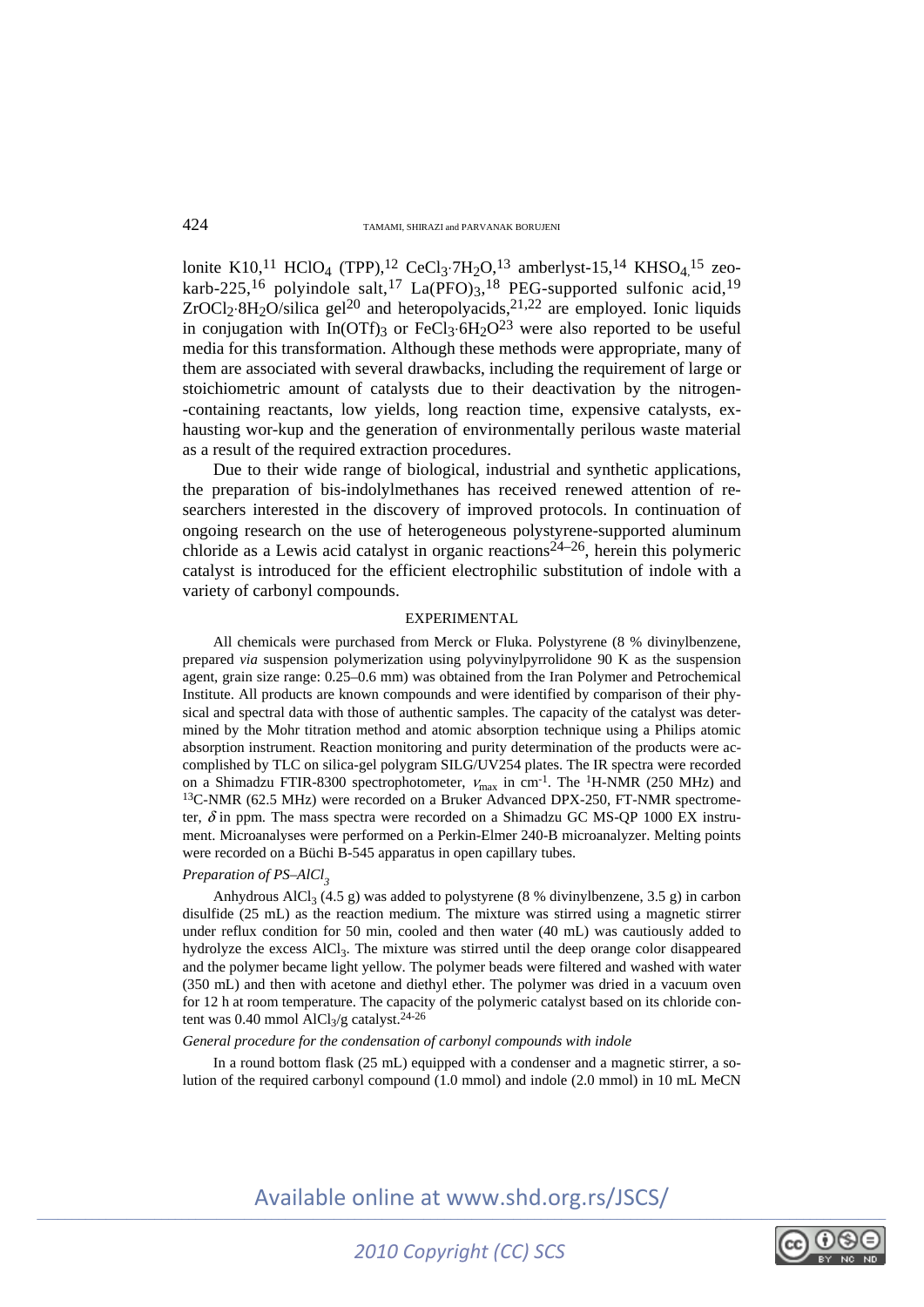lonite K10,<sup>11</sup> HClO<sub>4</sub> (TPP),<sup>12</sup> CeCl<sub>3</sub>⋅7H<sub>2</sub>O,<sup>13</sup> amberlyst-15,<sup>14</sup> KHSO<sub>4</sub>,<sup>15</sup> zeokarb-225,<sup>16</sup> polyindole salt,<sup>17</sup> La(PFO)<sub>3</sub>,<sup>18</sup> PEG-supported sulfonic acid,<sup>19</sup>  $ZrOCl<sub>2</sub>·8H<sub>2</sub>O/silica gel<sup>20</sup> and heteropolvacids<sup>21,22</sup> are employed. Ionic liquids$ in conjugation with  $In(OTF)_{3}$  or FeCl<sub>3</sub>⋅6H<sub>2</sub>O<sup>23</sup> were also reported to be useful media for this transformation. Although these methods were appropriate, many of them are associated with several drawbacks, including the requirement of large or stoichiometric amount of catalysts due to their deactivation by the nitrogen- -containing reactants, low yields, long reaction time, expensive catalysts, exhausting wor-kup and the generation of environmentally perilous waste material as a result of the required extraction procedures.

Due to their wide range of biological, industrial and synthetic applications, the preparation of bis-indolylmethanes has received renewed attention of researchers interested in the discovery of improved protocols. In continuation of ongoing research on the use of heterogeneous polystyrene-supported aluminum chloride as a Lewis acid catalyst in organic reactions<sup>24–26</sup>, herein this polymeric catalyst is introduced for the efficient electrophilic substitution of indole with a variety of carbonyl compounds.

#### EXPERIMENTAL

All chemicals were purchased from Merck or Fluka. Polystyrene (8 % divinylbenzene, prepared *via* suspension polymerization using polyvinylpyrrolidone 90 K as the suspension agent, grain size range: 0.25–0.6 mm) was obtained from the Iran Polymer and Petrochemical Institute. All products are known compounds and were identified by comparison of their physical and spectral data with those of authentic samples. The capacity of the catalyst was determined by the Mohr titration method and atomic absorption technique using a Philips atomic absorption instrument. Reaction monitoring and purity determination of the products were accomplished by TLC on silica-gel polygram SILG/UV254 plates. The IR spectra were recorded on a Shimadzu FTIR-8300 spectrophotometer,  $V_{\text{max}}$  in cm<sup>-1</sup>. The <sup>1</sup>H-NMR (250 MHz) and <sup>13</sup>C-NMR (62.5 MHz) were recorded on a Bruker Advanced DPX-250, FT-NMR spectrometer,  $\delta$  in ppm. The mass spectra were recorded on a Shimadzu GC MS-QP 1000 EX instrument. Microanalyses were performed on a Perkin-Elmer 240-B microanalyzer. Melting points were recorded on a Büchi B-545 apparatus in open capillary tubes.

#### *Preparation of PS–AlCl<sub>2</sub>*

Anhydrous AlCl<sub>3</sub> (4.5 g) was added to polystyrene (8 % divinylbenzene, 3.5 g) in carbon disulfide (25 mL) as the reaction medium. The mixture was stirred using a magnetic stirrer under reflux condition for 50 min, cooled and then water (40 mL) was cautiously added to hydrolyze the excess AlCl3. The mixture was stirred until the deep orange color disappeared and the polymer became light yellow. The polymer beads were filtered and washed with water (350 mL) and then with acetone and diethyl ether. The polymer was dried in a vacuum oven for 12 h at room temperature. The capacity of the polymeric catalyst based on its chloride content was 0.40 mmol AlCl<sub>3</sub>/g catalyst.<sup>24-26</sup>

#### *General procedure for the condensation of carbonyl compounds with indole*

In a round bottom flask  $(25 \text{ mL})$  equipped with a condenser and a magnetic stirrer, a solution of the required carbonyl compound (1.0 mmol) and indole (2.0 mmol) in 10 mL MeCN

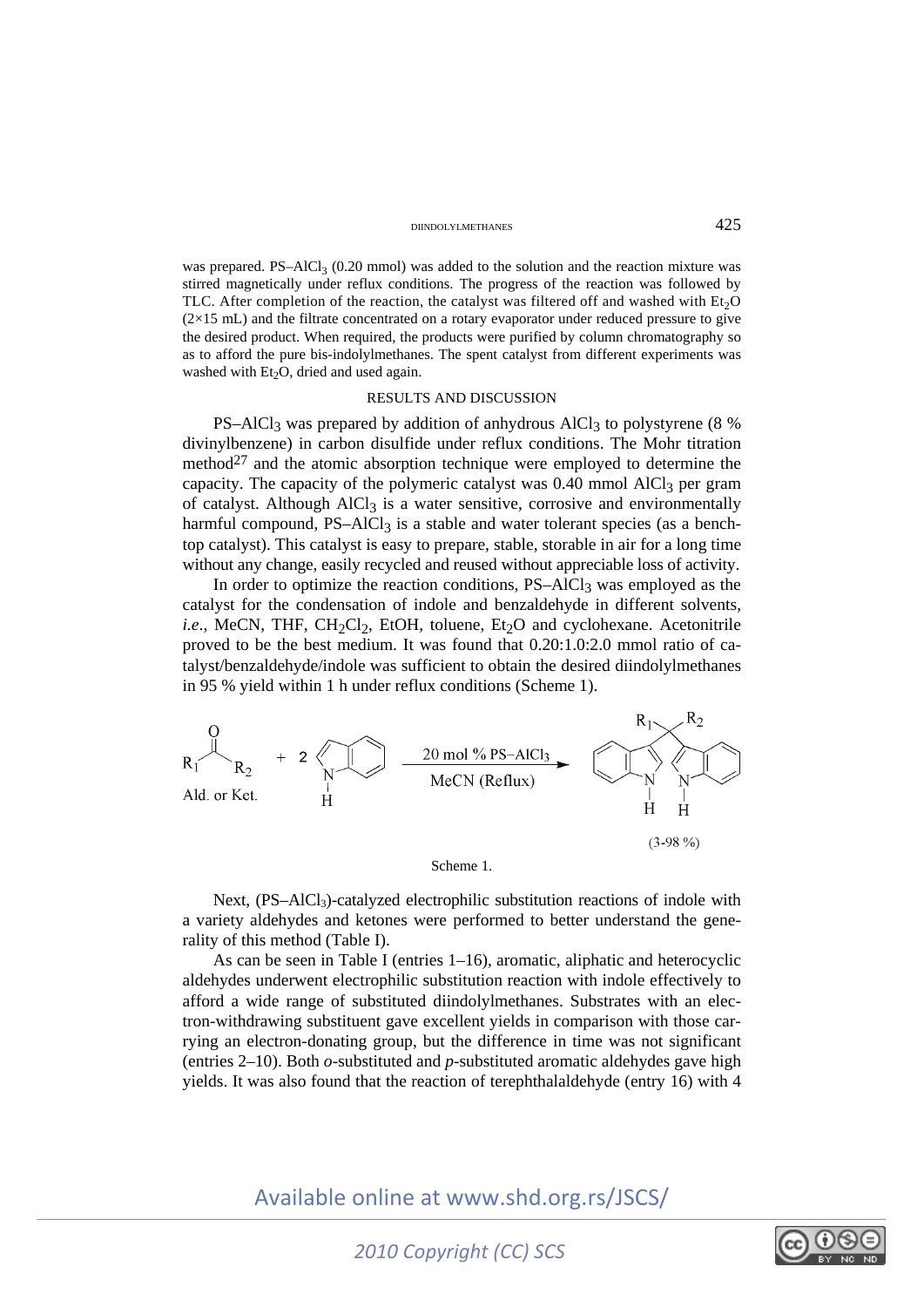#### DIINDOLYLMETHANES 425

was prepared.  $PS-AlCl<sub>3</sub> (0.20 mmol)$  was added to the solution and the reaction mixture was stirred magnetically under reflux conditions. The progress of the reaction was followed by TLC. After completion of the reaction, the catalyst was filtered off and washed with  $Et<sub>2</sub>O$  $(2\times15 \text{ mL})$  and the filtrate concentrated on a rotary evaporator under reduced pressure to give the desired product. When required, the products were purified by column chromatography so as to afford the pure bis-indolylmethanes. The spent catalyst from different experiments was washed with  $Et<sub>2</sub>O$ , dried and used again.

#### RESULTS AND DISCUSSION

PS–AlCl<sub>3</sub> was prepared by addition of anhydrous AlCl<sub>3</sub> to polystyrene (8 %) divinylbenzene) in carbon disulfide under reflux conditions. The Mohr titration method<sup>27</sup> and the atomic absorption technique were employed to determine the capacity. The capacity of the polymeric catalyst was  $0.40$  mmol AlCl<sub>3</sub> per gram of catalyst. Although AlCl<sub>3</sub> is a water sensitive, corrosive and environmentally harmful compound,  $PS-AICI<sub>3</sub>$  is a stable and water tolerant species (as a benchtop catalyst). This catalyst is easy to prepare, stable, storable in air for a long time without any change, easily recycled and reused without appreciable loss of activity.

In order to optimize the reaction conditions,  $PS-AICI<sub>3</sub>$  was employed as the catalyst for the condensation of indole and benzaldehyde in different solvents, *i.e.*, MeCN, THF, CH<sub>2</sub>Cl<sub>2</sub>, EtOH, toluene, Et<sub>2</sub>O and cyclohexane. Acetonitrile proved to be the best medium. It was found that 0.20:1.0:2.0 mmol ratio of catalyst/benzaldehyde/indole was sufficient to obtain the desired diindolylmethanes in 95 % yield within 1 h under reflux conditions (Scheme 1).



Next, (PS-AlCl<sub>3</sub>)-catalyzed electrophilic substitution reactions of indole with a variety aldehydes and ketones were performed to better understand the generality of this method (Table I).

As can be seen in Table I (entries 1–16), aromatic, aliphatic and heterocyclic aldehydes underwent electrophilic substitution reaction with indole effectively to afford a wide range of substituted diindolylmethanes. Substrates with an electron-withdrawing substituent gave excellent yields in comparison with those carrying an electron-donating group, but the difference in time was not significant (entries 2–10). Both *o*-substituted and *p*-substituted aromatic aldehydes gave high yields. It was also found that the reaction of terephthalaldehyde (entry 16) with 4

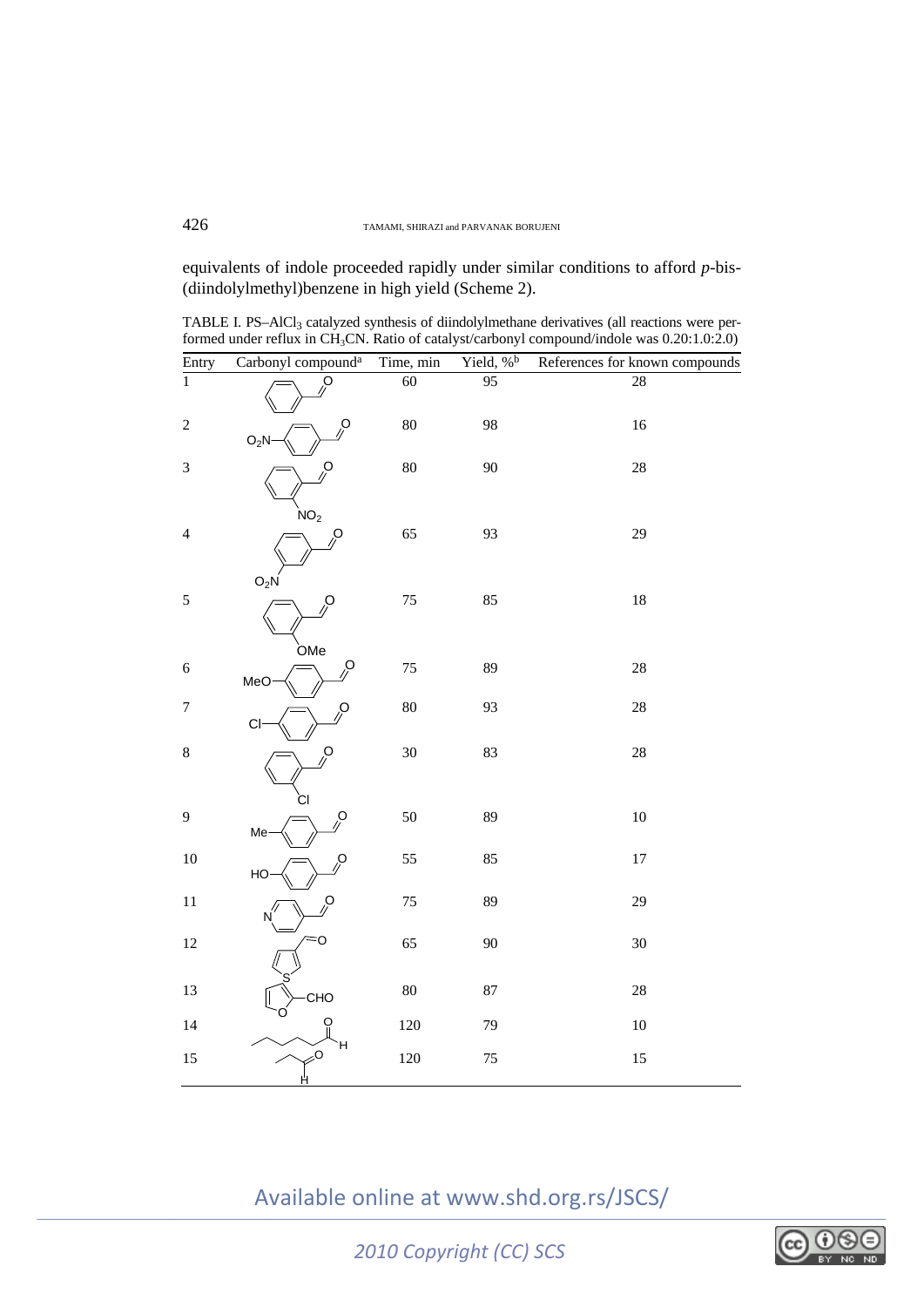equivalents of indole proceeded rapidly under similar conditions to afford *p*-bis- (diindolylmethyl)benzene in high yield (Scheme 2).

TABLE I. PS-AlCl<sub>3</sub> catalyzed synthesis of diindolylmethane derivatives (all reactions were performed under reflux in CH3CN. Ratio of catalyst/carbonyl compound/indole was 0.20:1.0:2.0)

| Entry            | Carbonyl compound <sup>a</sup> | Time, min | Yield, % <sup>b</sup> | References for known compounds |
|------------------|--------------------------------|-----------|-----------------------|--------------------------------|
| $\overline{1}$   | $\beta$                        | 60        | 95                    | 28                             |
| $\sqrt{2}$       | O<br>$O_2N$                    | 80        | 98                    | 16                             |
| 3                | O<br>NO <sub>2</sub>           | 80        | 90                    | 28                             |
| $\overline{4}$   | 0<br>$O_2N$                    | 65        | 93                    | 29                             |
| $\sqrt{5}$       | O<br><b>OMe</b>                | 75        | 85                    | 18                             |
| $\epsilon$       | $\mathcal{S}$<br>MeO           | 75        | 89                    | 28                             |
| $\boldsymbol{7}$ | ݦ<br>C <sub>l</sub>            | 80        | 93                    | 28                             |
| $\,8\,$          | Ó<br>СI                        | 30        | 83                    | 28                             |
| 9                | O<br>Me                        | 50        | 89                    | $10\,$                         |
| 10               | O<br>HO                        | 55        | 85                    | $17\,$                         |
| $11\,$           | Ģ                              | 75        | 89                    | 29                             |
| 12               | O                              | 65        | 90                    | 30                             |
| 13               | CHO                            | 80        | 87                    | 28                             |
| 14               | O<br>н                         | $120\,$   | 79                    | 10                             |
| 15               | $\geqslant$ O<br>Ĥ             | 120       | 75                    | 15                             |

Available online at www.shd.org.rs/JSCS/

*2010 Copyright (CC) SCS*

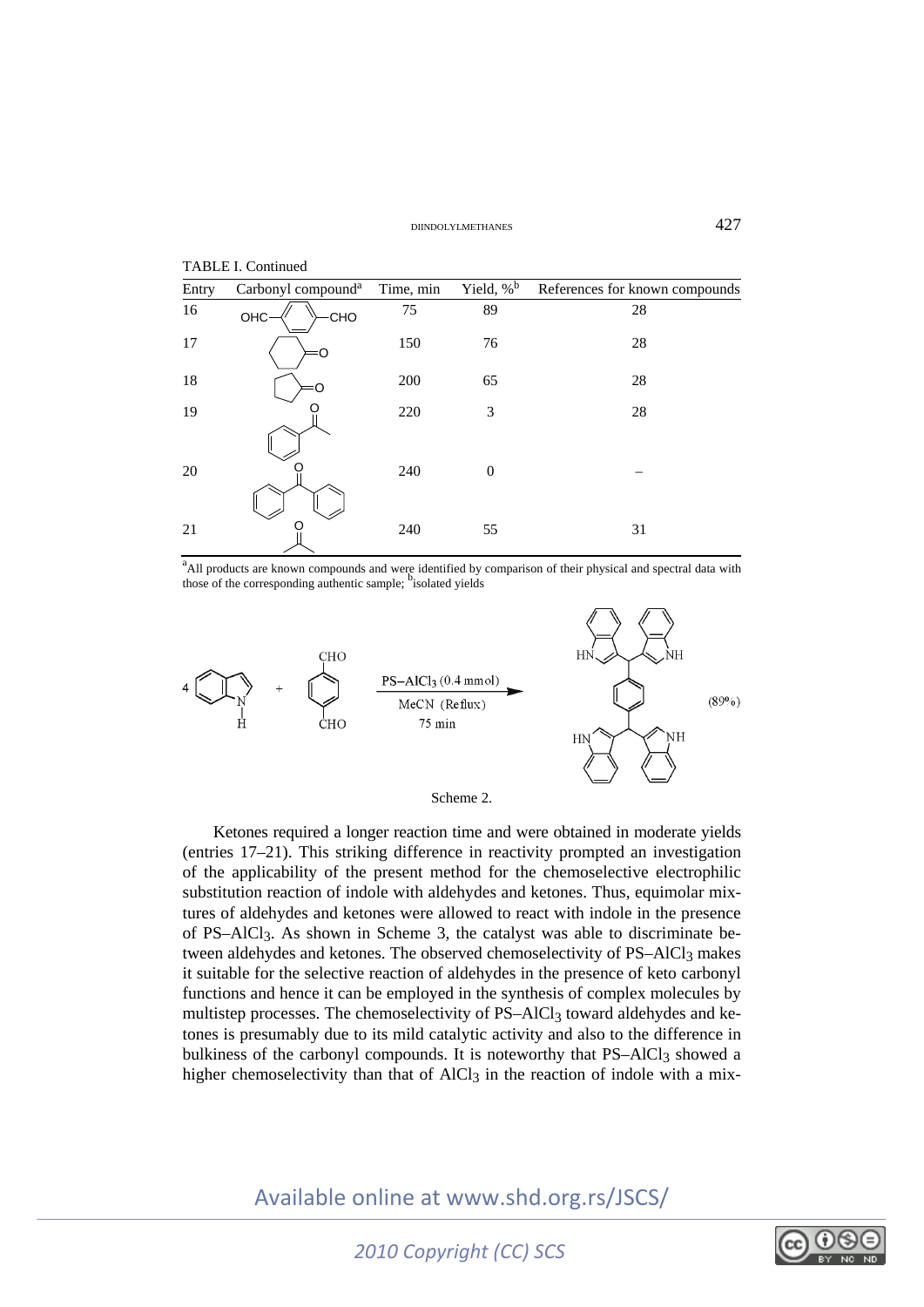| TABLE I. Continued |                                |           |                          |                                |  |  |
|--------------------|--------------------------------|-----------|--------------------------|--------------------------------|--|--|
| Entry              | Carbonyl compound <sup>a</sup> | Time, min | Yield, $\%$ <sup>b</sup> | References for known compounds |  |  |
| 16                 | OHC·<br>CHO                    | 75        | 89                       | 28                             |  |  |
| 17                 | ו                              | 150       | 76                       | 28                             |  |  |
| 18                 |                                | 200       | 65                       | 28                             |  |  |
| 19                 |                                | 220       | 3                        | 28                             |  |  |
| 20                 |                                | 240       | $\theta$                 |                                |  |  |
| 21                 |                                | 240       | 55                       | 31                             |  |  |

<sup>a</sup>All products are known compounds and were identified by comparison of their physical and spectral data with those of the corresponding authentic sample; bisolated yields



Scheme 2.

Ketones required a longer reaction time and were obtained in moderate yields (entries 17–21). This striking difference in reactivity prompted an investigation of the applicability of the present method for the chemoselective electrophilic substitution reaction of indole with aldehydes and ketones. Thus, equimolar mixtures of aldehydes and ketones were allowed to react with indole in the presence of PS–AlCl3. As shown in Scheme 3, the catalyst was able to discriminate between aldehydes and ketones. The observed chemoselectivity of PS-AlCl<sub>3</sub> makes it suitable for the selective reaction of aldehydes in the presence of keto carbonyl functions and hence it can be employed in the synthesis of complex molecules by multistep processes. The chemoselectivity of PS–AlCl<sub>3</sub> toward aldehydes and ketones is presumably due to its mild catalytic activity and also to the difference in bulkiness of the carbonyl compounds. It is noteworthy that PS–AlCl<sub>3</sub> showed a higher chemoselectivity than that of AlCl<sub>3</sub> in the reaction of indole with a mix-

Available online at www.shd.org.rs/JSCS/

*2010 Copyright (CC) SCS*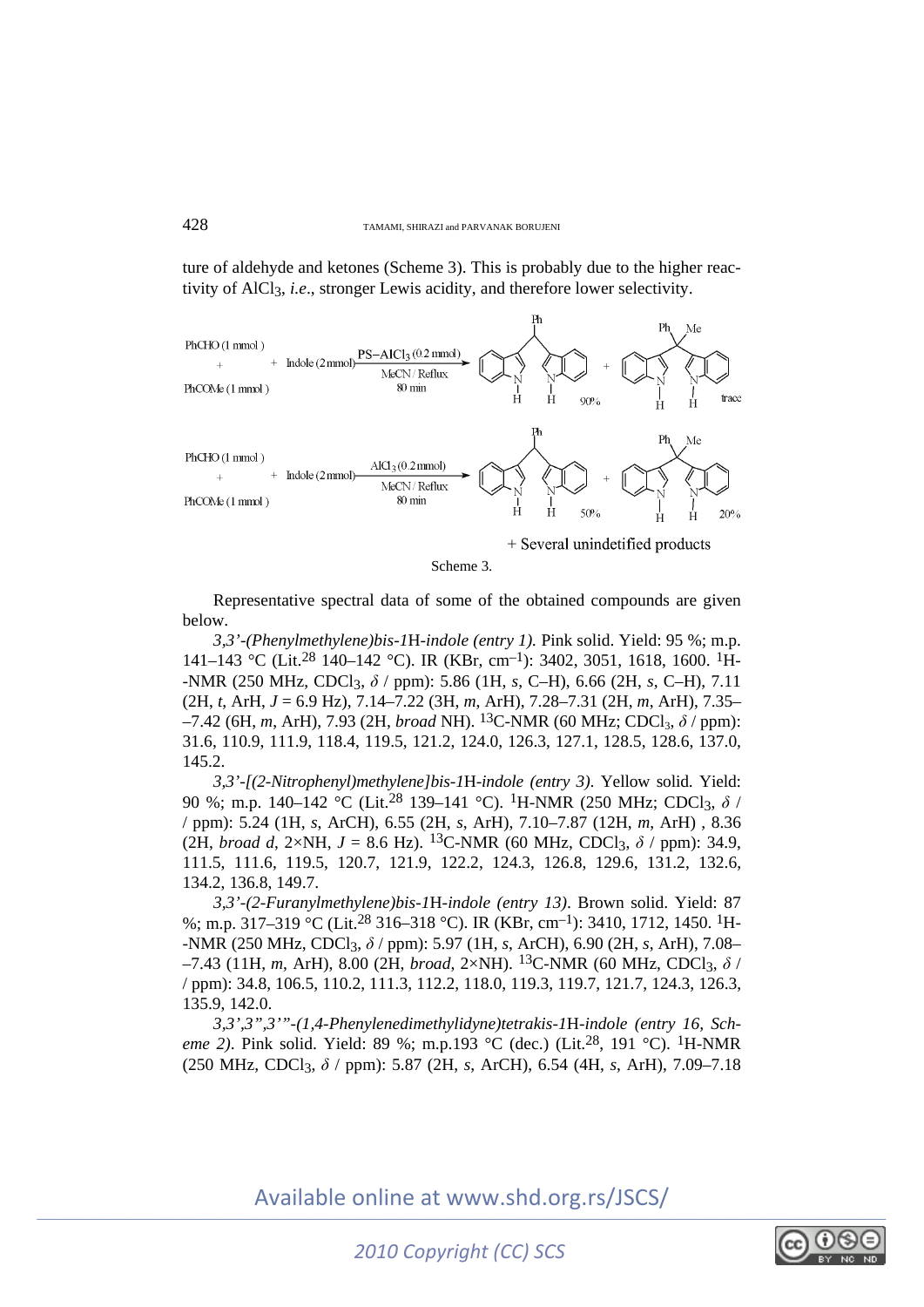ture of aldehyde and ketones (Scheme 3). This is probably due to the higher reactivity of AlCl3, *i.e*., stronger Lewis acidity, and therefore lower selectivity.



+ Several unindetified products

Scheme 3.

Representative spectral data of some of the obtained compounds are given below.

*3,3'-(Phenylmethylene)bis-1*H*-indole (entry 1).* Pink solid. Yield: 95 %; m.p. 141–143 °C (Lit.28 140–142 °C). IR (KBr, cm–1): 3402, 3051, 1618, 1600. 1H- -NMR (250 MHz, CDCl3, *δ* / ppm): 5.86 (1H, *s*, C–H), 6.66 (2H, *s*, C–H), 7.11 (2H, *t*, ArH, *J* = 6.9 Hz), 7.14–7.22 (3H, *m*, ArH), 7.28–7.31 (2H, *m*, ArH), 7.35– –7.42 (6H, *m*, ArH), 7.93 (2H, *broad* NH). 13C-NMR (60 MHz; CDCl3, *δ* / ppm): 31.6, 110.9, 111.9, 118.4, 119.5, 121.2, 124.0, 126.3, 127.1, 128.5, 128.6, 137.0, 145.2.

*3,3'-[(2-Nitrophenyl)methylene]bis-1*H*-indole (entry 3)*. Yellow solid. Yield: 90 %; m.p. 140–142 °C (Lit.<sup>28</sup> 139–141 °C). <sup>1</sup>H-NMR (250 MHz; CDCl<sub>3</sub>, δ / / ppm): 5.24 (1H, *s*, ArCH), 6.55 (2H, *s*, ArH), 7.10–7.87 (12H, *m*, ArH) , 8.36 (2H, *broad d*, 2×NH,  $J = 8.6$  Hz). <sup>13</sup>C-NMR (60 MHz, CDCl<sub>3</sub>,  $\delta$  / ppm): 34.9, 111.5, 111.6, 119.5, 120.7, 121.9, 122.2, 124.3, 126.8, 129.6, 131.2, 132.6, 134.2, 136.8, 149.7.

*3,3'-(2-Furanylmethylene)bis-1*H*-indole (entry 13)*. Brown solid. Yield: 87 %; m.p. 317–319 °C (Lit.28 316–318 °C). IR (KBr, cm–1): 3410, 1712, 1450. 1H- -NMR (250 MHz, CDCl3, *δ* / ppm): 5.97 (1H, *s*, ArCH), 6.90 (2H, *s*, ArH), 7.08–  $-7.43$  (11H, *m*, ArH), 8.00 (2H, *broad*, 2×NH). <sup>13</sup>C-NMR (60 MHz, CDCl<sub>3</sub>,  $\delta$  / / ppm): 34.8, 106.5, 110.2, 111.3, 112.2, 118.0, 119.3, 119.7, 121.7, 124.3, 126.3, 135.9, 142.0.

*3,3',3",3'"-(1,4-Phenylenedimethylidyne)tetrakis-1*H*-indole (entry 16, Scheme 2*). Pink solid. Yield: 89 %; m.p.193 °C (dec.) (Lit.<sup>28</sup>, 191 °C). <sup>1</sup>H-NMR (250 MHz, CDCl3, *δ* / ppm): 5.87 (2H, *s*, ArCH), 6.54 (4H, *s*, ArH), 7.09–7.18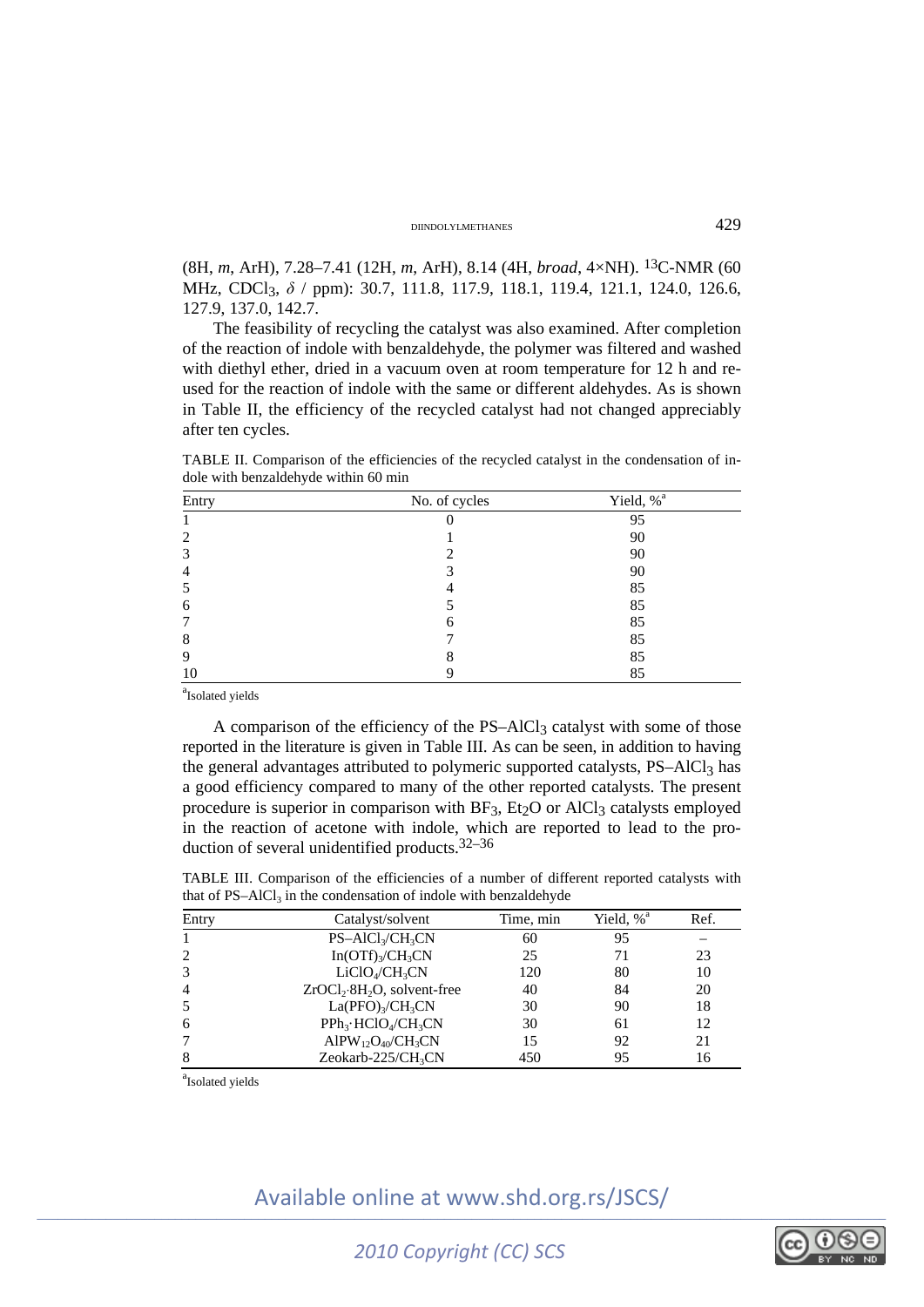#### DIINDOLYLMETHANES 429

(8H, *m*, ArH), 7.28–7.41 (12H, *m*, ArH), 8.14 (4H, *broad*, 4×NH). 13C-NMR (60 MHz, CDCl<sub>3</sub>, δ / ppm): 30.7, 111.8, 117.9, 118.1, 119.4, 121.1, 124.0, 126.6, 127.9, 137.0, 142.7.

The feasibility of recycling the catalyst was also examined. After completion of the reaction of indole with benzaldehyde, the polymer was filtered and washed with diethyl ether, dried in a vacuum oven at room temperature for 12 h and reused for the reaction of indole with the same or different aldehydes. As is shown in Table II, the efficiency of the recycled catalyst had not changed appreciably after ten cycles.

TABLE II. Comparison of the efficiencies of the recycled catalyst in the condensation of indole with benzaldehyde within 60 min

| Entry | No. of cycles | Yield, % <sup>a</sup> |
|-------|---------------|-----------------------|
|       |               | 95                    |
|       |               | 90                    |
|       |               | 90                    |
|       |               | 90                    |
|       |               | 85                    |
| O     |               | 85                    |
|       | n             | 85                    |
| 8     |               | 85                    |
|       |               | 85                    |
| 10    |               | 85                    |

<sup>a</sup>Isolated yields

A comparison of the efficiency of the  $PS-AICI<sub>3</sub>$  catalyst with some of those reported in the literature is given in Table III. As can be seen, in addition to having the general advantages attributed to polymeric supported catalysts, PS–AlCl<sub>3</sub> has a good efficiency compared to many of the other reported catalysts. The present procedure is superior in comparison with  $BF_3$ ,  $Et_2O$  or  $AICI_3$  catalysts employed in the reaction of acetone with indole, which are reported to lead to the production of several unidentified products.32–36

TABLE III. Comparison of the efficiencies of a number of different reported catalysts with that of  $PS-AICl<sub>2</sub>$  in the condensation of indole with benzaldehyde

| Entry | Catalyst/solvent                         | Time, min | Yield, $%$ <sup><math>\alpha</math></sup> | Ref. |
|-------|------------------------------------------|-----------|-------------------------------------------|------|
|       | $PS-AICl_3/CH_3CN$                       | 60        | 95                                        |      |
| 2     | $In(OTf)_{3}/CH_{3}CN$                   | 25        | 71                                        | 23   |
| 3     | LiClO <sub>4</sub> /CH <sub>3</sub> CN   | 120       | 80                                        | 10   |
| 4     | $ZrOCl2·8H2O$ , solvent-free             | 40        | 84                                        | 20   |
| 5     | La(PPO) <sub>3</sub> /CH <sub>3</sub> CN | 30        | 90                                        | 18   |
| 6     | $PPh_3 \cdot HClO_4/CH_3CN$              | 30        | 61                                        | 12   |
| 7     | $AlPW_{12}O_{40}/CH_3CN$                 | 15        | 92                                        | 21   |
| 8     | Zeokarb-225/CH <sub>3</sub> CN           | 450       | 95                                        | 16   |
|       |                                          |           |                                           |      |

<sup>a</sup>Isolated yields

## \_\_\_\_\_\_\_\_\_\_\_\_\_\_\_\_\_\_\_\_\_\_\_\_\_\_\_\_\_\_\_\_\_\_\_\_\_\_\_\_\_\_\_\_\_\_\_\_\_\_\_\_\_\_\_\_\_\_\_\_\_\_\_\_\_\_\_\_\_\_\_\_\_\_\_\_\_\_\_\_\_\_\_\_\_\_\_\_\_\_\_\_\_\_\_\_\_\_\_\_\_\_\_\_\_\_\_\_\_\_\_\_\_\_\_\_\_\_\_\_\_\_\_ Available online at www.shd.org.rs/JSCS/

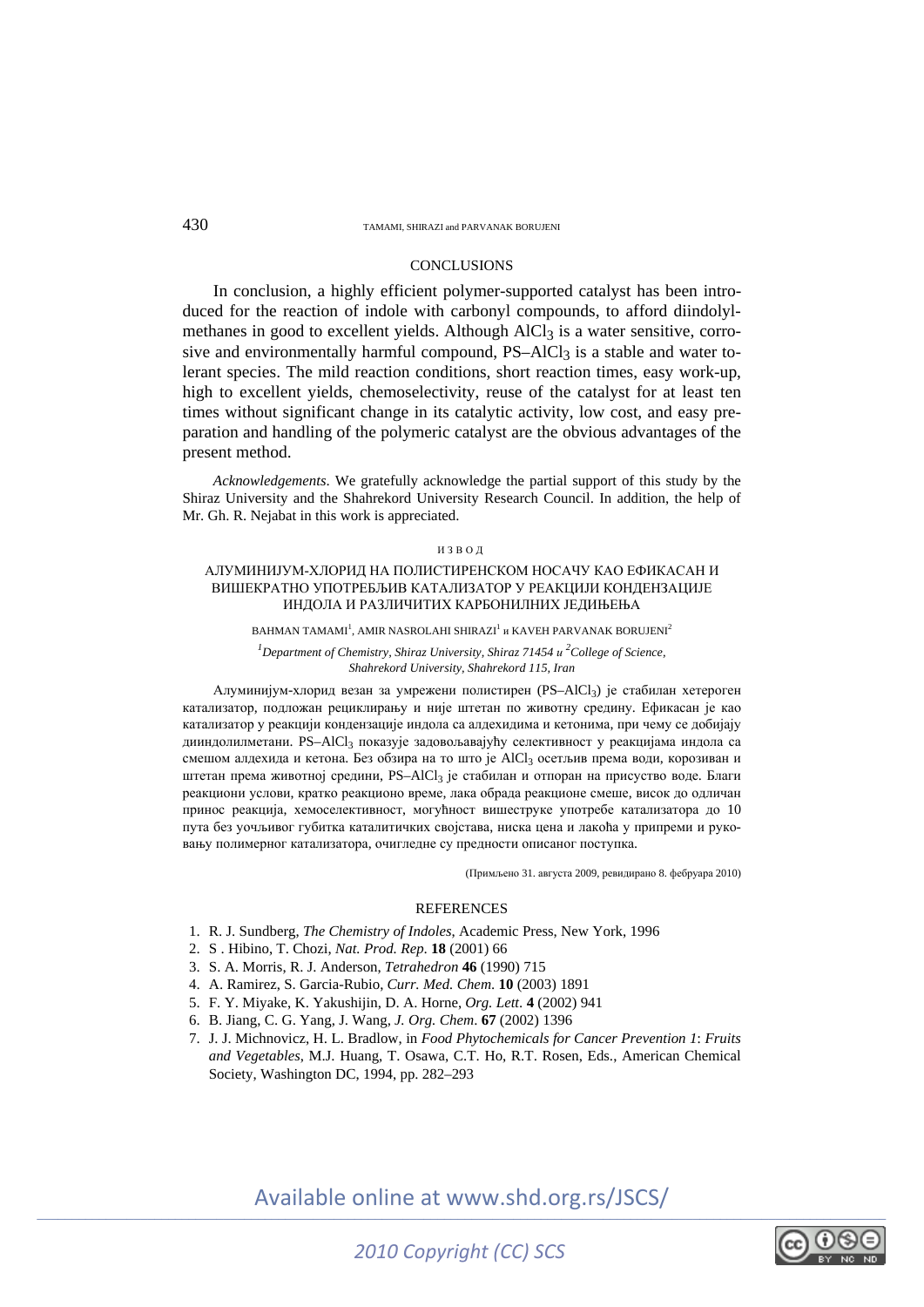#### 430 TAMAMI, SHIRAZI and PARVANAK BORUJENI

#### **CONCLUSIONS**

In conclusion, a highly efficient polymer-supported catalyst has been introduced for the reaction of indole with carbonyl compounds, to afford diindolylmethanes in good to excellent yields. Although AlCl<sub>3</sub> is a water sensitive, corrosive and environmentally harmful compound, PS–AlCl<sub>3</sub> is a stable and water tolerant species. The mild reaction conditions, short reaction times, easy work-up, high to excellent yields, chemoselectivity, reuse of the catalyst for at least ten times without significant change in its catalytic activity, low cost, and easy preparation and handling of the polymeric catalyst are the obvious advantages of the present method.

*Acknowledgements*. We gratefully acknowledge the partial support of this study by the Shiraz University and the Shahrekord University Research Council. In addition, the help of Mr. Gh. R. Nejabat in this work is appreciated.

#### ИЗВОД

#### АЛУМИНИЈУМ-ХЛОРИД НА ПОЛИСТИРЕНСКОМ НОСАЧУ КАО ЕФИКАСАН И ВИШЕКРАТНО УПОТРЕБЉИВ КАТАЛИЗАТОР У РЕАКЦИЈИ КОНДЕНЗАЦИЈЕ ИНДОЛА И РАЗЛИЧИТИХ КАРБОНИЛНИХ ЈЕДИЊЕЊА

BAHMAN TAMAMI $^{\rm l}$ , AMIR NASROLAHI SHIRAZI $^{\rm l}$  и KAVEH PARVANAK BORUJENI $^{\rm 2}$ 

*<sup>1</sup>* Department of Chemistry, Shiraz University, Shiraz 71454 *u*<sup>2</sup> College of Science, *Shahrekord University, Shahrekord 115, Iran* 

Алуминијум-хлорид везан за умрежени полистирен (PS–AlCl3) је стабилан хетероген катализатор, подложан рециклирању и није штетан по животну средину. Ефикасан је као катализатор у реакцији кондензације индола са алдехидима и кетонима, при чему се добијају дииндолилметани. PS–AlCl3 показује задовољавајућу селективност у реакцијама индола са смешом алдехида и кетона. Без обзира на то што је AlCl3 осетљив према води, корозиван и штетан према животној средини, PS–AlCl3 је стабилан и отпоран на присуство воде. Благи реакциони услови, кратко реакционо време, лака обрада реакционе смеше, висок до одличан принос реакција, хемоселективност, могућност вишеструке употребе катализатора до 10 пута без уочљивог губитка каталитичких својстава, ниска цена и лакоћа у припреми и руковању полимерног катализатора, очигледне су предности описаног поступка.

(Примљено 31. августа 2009, ревидирано 8. фебруара 2010)

#### **REFERENCES**

- 1. R. J. Sundberg, *The Chemistry of Indoles*, Academic Press, New York, 1996
- 2. S . Hibino, T. Chozi, *Nat. Prod. Rep*. **18** (2001) 66
- 3. S. A. Morris, R. J. Anderson, *Tetrahedron* **46** (1990) 715
- 4. A. Ramirez, S. Garcia-Rubio, *Curr. Med. Chem*. **10** (2003) 1891
- 5. F. Y. Miyake, K. Yakushijin, D. A. Horne, *Org. Lett*. **4** (2002) 941
- 6. B. Jiang, C. G. Yang, J. Wang*, J. Org. Chem*. **67** (2002) 1396
- 7. J. J. Michnovicz, H. L. Bradlow, in *Food Phytochemicals for Cancer Prevention 1*: *Fruits and Vegetables*, M.J. Huang, T. Osawa, C.T. Ho, R.T. Rosen, Eds., American Chemical Society, Washington DC, 1994, pp. 282–293